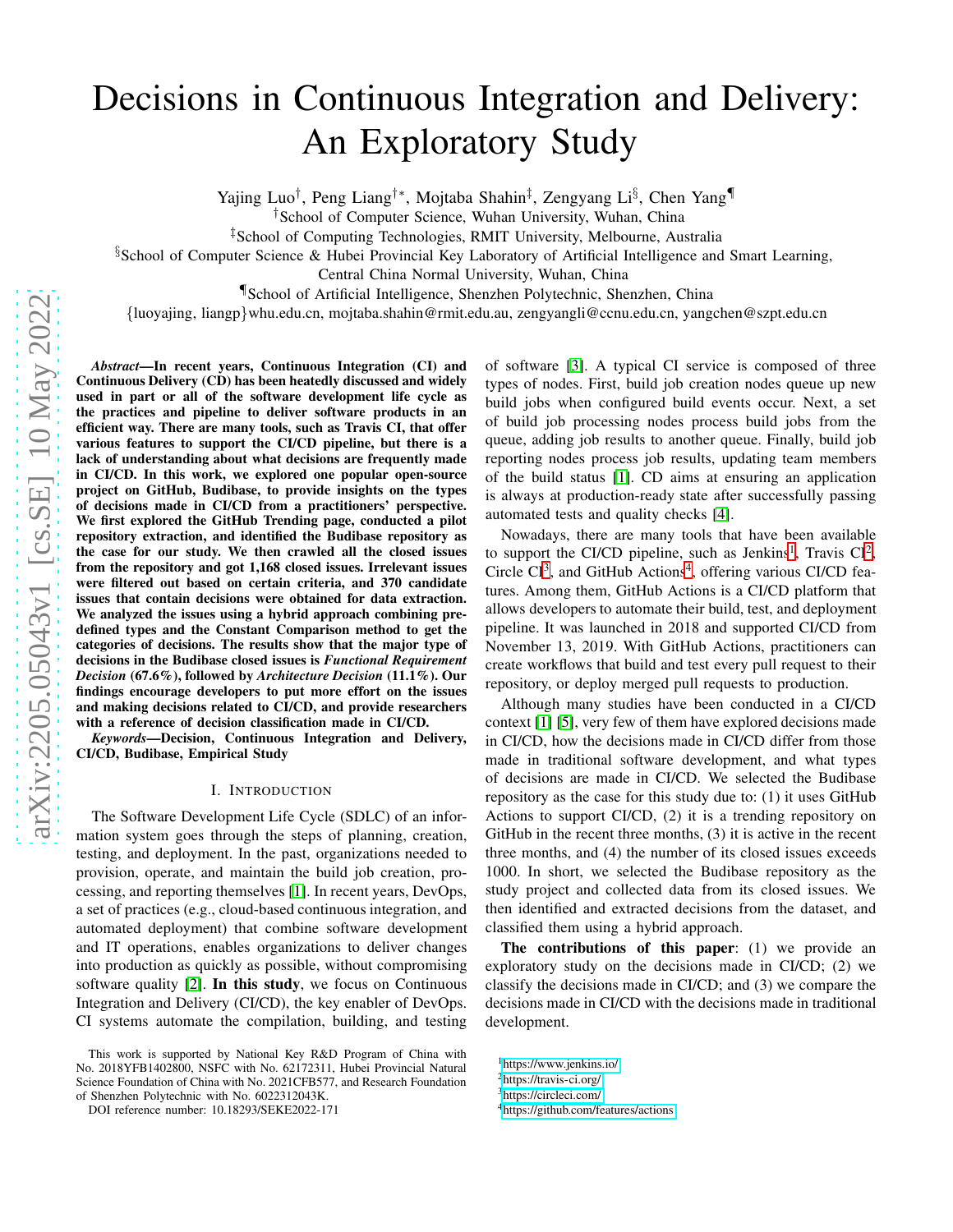# Decisions in Continuous Integration and Delivery: An Exploratory Study

Yajing Luo<sup>†</sup>, Peng Liang<sup>†</sup>\*, Mojtaba Shahin<sup>‡</sup>, Zengyang Li<sup>§</sup>, Chen Yang¶

†School of Computer Science, Wuhan University, Wuhan, China

‡School of Computing Technologies, RMIT University, Melbourne, Australia

§School of Computer Science & Hubei Provincial Key Laboratory of Artificial Intelligence and Smart Learning,

Central China Normal University, Wuhan, China

¶School of Artificial Intelligence, Shenzhen Polytechnic, Shenzhen, China

{luoyajing, liangp}whu.edu.cn, mojtaba.shahin@rmit.edu.au, zengyangli@ccnu.edu.cn, yangchen@szpt.edu.cn

*Abstract*—In recent years, Continuous Integration (CI) and Continuous Delivery (CD) has been heatedly discussed and widely used in part or all of the software development life cycle as the practices and pipeline to deliver software products in an efficient way. There are many tools, such as Travis CI, that offer various features to support the CI/CD pipeline, but there is a lack of understanding about what decisions are frequently made in CI/CD. In this work, we explored one popular open-source project on GitHub, Budibase, to provide insights on the types of decisions made in CI/CD from a practitioners' perspective. We first explored the GitHub Trending page, conducted a pilot repository extraction, and identified the Budibase repository as the case for our study. We then crawled all the closed issues from the repository and got 1,168 closed issues. Irrelevant issues were filtered out based on certain criteria, and 370 candidate issues that contain decisions were obtained for data extraction. We analyzed the issues using a hybrid approach combining predefined types and the Constant Comparison method to get the categories of decisions. The results show that the major type of decisions in the Budibase closed issues is *Functional Requirement Decision* (67.6%), followed by *Architecture Decision* (11.1%). Our findings encourage developers to put more effort on the issues and making decisions related to CI/CD, and provide researchers with a reference of decision classification made in CI/CD.

*Keywords*—Decision, Continuous Integration and Delivery, CI/CD, Budibase, Empirical Study

#### I. INTRODUCTION

The Software Development Life Cycle (SDLC) of an information system goes through the steps of planning, creation, testing, and deployment. In the past, organizations needed to provision, operate, and maintain the build job creation, processing, and reporting themselves [\[1\]](#page-5-0). In recent years, DevOps, a set of practices (e.g., cloud-based continuous integration, and automated deployment) that combine software development and IT operations, enables organizations to deliver changes into production as quickly as possible, without compromising software quality [\[2\]](#page-5-1). In this study, we focus on Continuous Integration and Delivery (CI/CD), the key enabler of DevOps. CI systems automate the compilation, building, and testing of software [\[3\]](#page-5-2). A typical CI service is composed of three types of nodes. First, build job creation nodes queue up new build jobs when configured build events occur. Next, a set of build job processing nodes process build jobs from the queue, adding job results to another queue. Finally, build job reporting nodes process job results, updating team members of the build status [\[1\]](#page-5-0). CD aims at ensuring an application is always at production-ready state after successfully passing automated tests and quality checks [\[4\]](#page-5-3).

Nowadays, there are many tools that have been available to support the CI/CD pipeline, such as Jenkins<sup>[1](#page-0-0)</sup>, Travis CI<sup>[2](#page-0-1)</sup>, Circle CI<sup>[3](#page-0-2)</sup>, and GitHub Actions<sup>[4](#page-0-3)</sup>, offering various CI/CD features. Among them, GitHub Actions is a CI/CD platform that allows developers to automate their build, test, and deployment pipeline. It was launched in 2018 and supported CI/CD from November 13, 2019. With GitHub Actions, practitioners can create workflows that build and test every pull request to their repository, or deploy merged pull requests to production.

Although many studies have been conducted in a CI/CD context [\[1\]](#page-5-0) [\[5\]](#page-5-4), very few of them have explored decisions made in CI/CD, how the decisions made in CI/CD differ from those made in traditional software development, and what types of decisions are made in CI/CD. We selected the Budibase repository as the case for this study due to: (1) it uses GitHub Actions to support CI/CD, (2) it is a trending repository on GitHub in the recent three months, (3) it is active in the recent three months, and (4) the number of its closed issues exceeds 1000. In short, we selected the Budibase repository as the study project and collected data from its closed issues. We then identified and extracted decisions from the dataset, and classified them using a hybrid approach.

The contributions of this paper: (1) we provide an exploratory study on the decisions made in CI/CD; (2) we classify the decisions made in CI/CD; and (3) we compare the decisions made in CI/CD with the decisions made in traditional development.

This work is supported by National Key R&D Program of China with No. 2018YFB1402800, NSFC with No. 62172311, Hubei Provincial Natural Science Foundation of China with No. 2021CFB577, and Research Foundation of Shenzhen Polytechnic with No. 6022312043K.

DOI reference number: 10.18293/SEKE2022-171

<sup>1</sup><https://www.jenkins.io/>

<span id="page-0-0"></span><sup>2</sup><https://travis-ci.org/>

<span id="page-0-1"></span><sup>3</sup><https://circleci.com/>

<span id="page-0-3"></span><span id="page-0-2"></span><sup>4</sup><https://github.com/features/actions>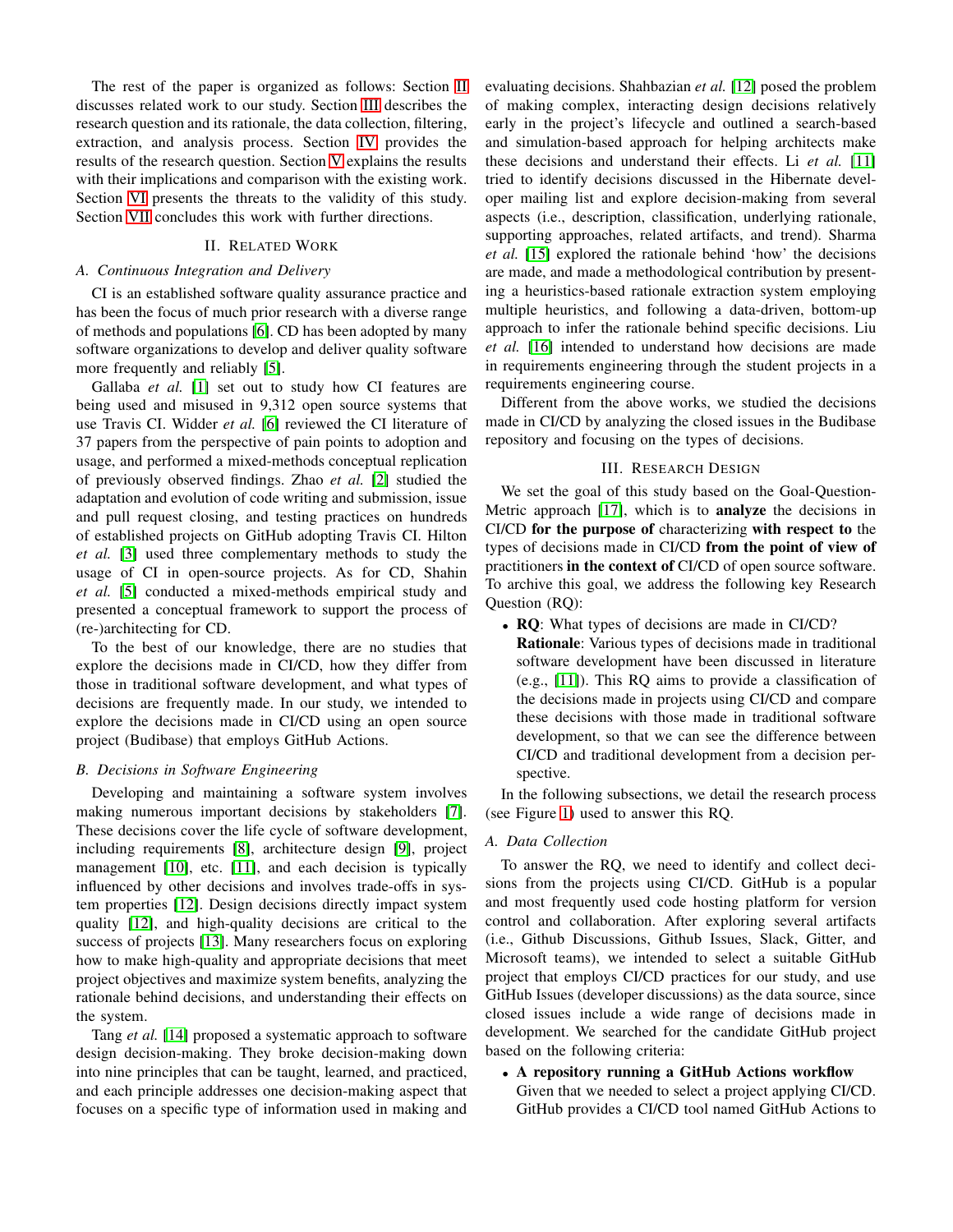The rest of the paper is organized as follows: Section [II](#page-1-0) discusses related work to our study. Section [III](#page-1-1) describes the research question and its rationale, the data collection, filtering, extraction, and analysis process. Section [IV](#page-2-0) provides the results of the research question. Section [V](#page-3-0) explains the results with their implications and comparison with the existing work. Section [VI](#page-4-0) presents the threats to the validity of this study. Section [VII](#page-5-5) concludes this work with further directions.

## II. RELATED WORK

#### <span id="page-1-0"></span>*A. Continuous Integration and Delivery*

CI is an established software quality assurance practice and has been the focus of much prior research with a diverse range of methods and populations [\[6\]](#page-5-6). CD has been adopted by many software organizations to develop and deliver quality software more frequently and reliably [\[5\]](#page-5-4).

Gallaba *et al.* [\[1\]](#page-5-0) set out to study how CI features are being used and misused in 9,312 open source systems that use Travis CI. Widder *et al.* [\[6\]](#page-5-6) reviewed the CI literature of 37 papers from the perspective of pain points to adoption and usage, and performed a mixed-methods conceptual replication of previously observed findings. Zhao *et al.* [\[2\]](#page-5-1) studied the adaptation and evolution of code writing and submission, issue and pull request closing, and testing practices on hundreds of established projects on GitHub adopting Travis CI. Hilton *et al.* [\[3\]](#page-5-2) used three complementary methods to study the usage of CI in open-source projects. As for CD, Shahin *et al.* [\[5\]](#page-5-4) conducted a mixed-methods empirical study and presented a conceptual framework to support the process of (re-)architecting for CD.

To the best of our knowledge, there are no studies that explore the decisions made in CI/CD, how they differ from those in traditional software development, and what types of decisions are frequently made. In our study, we intended to explore the decisions made in CI/CD using an open source project (Budibase) that employs GitHub Actions.

## *B. Decisions in Software Engineering*

Developing and maintaining a software system involves making numerous important decisions by stakeholders [\[7\]](#page-5-7). These decisions cover the life cycle of software development, including requirements [\[8\]](#page-5-8), architecture design [\[9\]](#page-5-9), project management [\[10\]](#page-5-10), etc. [\[11\]](#page-5-11), and each decision is typically influenced by other decisions and involves trade-offs in system properties [\[12\]](#page-5-12). Design decisions directly impact system quality [\[12\]](#page-5-12), and high-quality decisions are critical to the success of projects [\[13\]](#page-5-13). Many researchers focus on exploring how to make high-quality and appropriate decisions that meet project objectives and maximize system benefits, analyzing the rationale behind decisions, and understanding their effects on the system.

Tang *et al.* [\[14\]](#page-5-14) proposed a systematic approach to software design decision-making. They broke decision-making down into nine principles that can be taught, learned, and practiced, and each principle addresses one decision-making aspect that focuses on a specific type of information used in making and

evaluating decisions. Shahbazian *et al.* [\[12\]](#page-5-12) posed the problem of making complex, interacting design decisions relatively early in the project's lifecycle and outlined a search-based and simulation-based approach for helping architects make these decisions and understand their effects. Li *et al.* [\[11\]](#page-5-11) tried to identify decisions discussed in the Hibernate developer mailing list and explore decision-making from several aspects (i.e., description, classification, underlying rationale, supporting approaches, related artifacts, and trend). Sharma *et al.* [\[15\]](#page-5-15) explored the rationale behind 'how' the decisions are made, and made a methodological contribution by presenting a heuristics-based rationale extraction system employing multiple heuristics, and following a data-driven, bottom-up approach to infer the rationale behind specific decisions. Liu *et al.* [\[16\]](#page-5-16) intended to understand how decisions are made in requirements engineering through the student projects in a requirements engineering course.

Different from the above works, we studied the decisions made in CI/CD by analyzing the closed issues in the Budibase repository and focusing on the types of decisions.

## III. RESEARCH DESIGN

<span id="page-1-1"></span>We set the goal of this study based on the Goal-Question-Metric approach [\[17\]](#page-5-17), which is to analyze the decisions in CI/CD for the purpose of characterizing with respect to the types of decisions made in CI/CD from the point of view of practitioners in the context of CI/CD of open source software. To archive this goal, we address the following key Research Question (RQ):

• RQ: What types of decisions are made in CI/CD? Rationale: Various types of decisions made in traditional software development have been discussed in literature (e.g., [\[11\]](#page-5-11)). This RQ aims to provide a classification of the decisions made in projects using CI/CD and compare these decisions with those made in traditional software development, so that we can see the difference between CI/CD and traditional development from a decision perspective.

In the following subsections, we detail the research process (see Figure [1\)](#page-2-1) used to answer this RQ.

## *A. Data Collection*

To answer the RQ, we need to identify and collect decisions from the projects using CI/CD. GitHub is a popular and most frequently used code hosting platform for version control and collaboration. After exploring several artifacts (i.e., Github Discussions, Github Issues, Slack, Gitter, and Microsoft teams), we intended to select a suitable GitHub project that employs CI/CD practices for our study, and use GitHub Issues (developer discussions) as the data source, since closed issues include a wide range of decisions made in development. We searched for the candidate GitHub project based on the following criteria:

• A repository running a GitHub Actions workflow Given that we needed to select a project applying CI/CD. GitHub provides a CI/CD tool named GitHub Actions to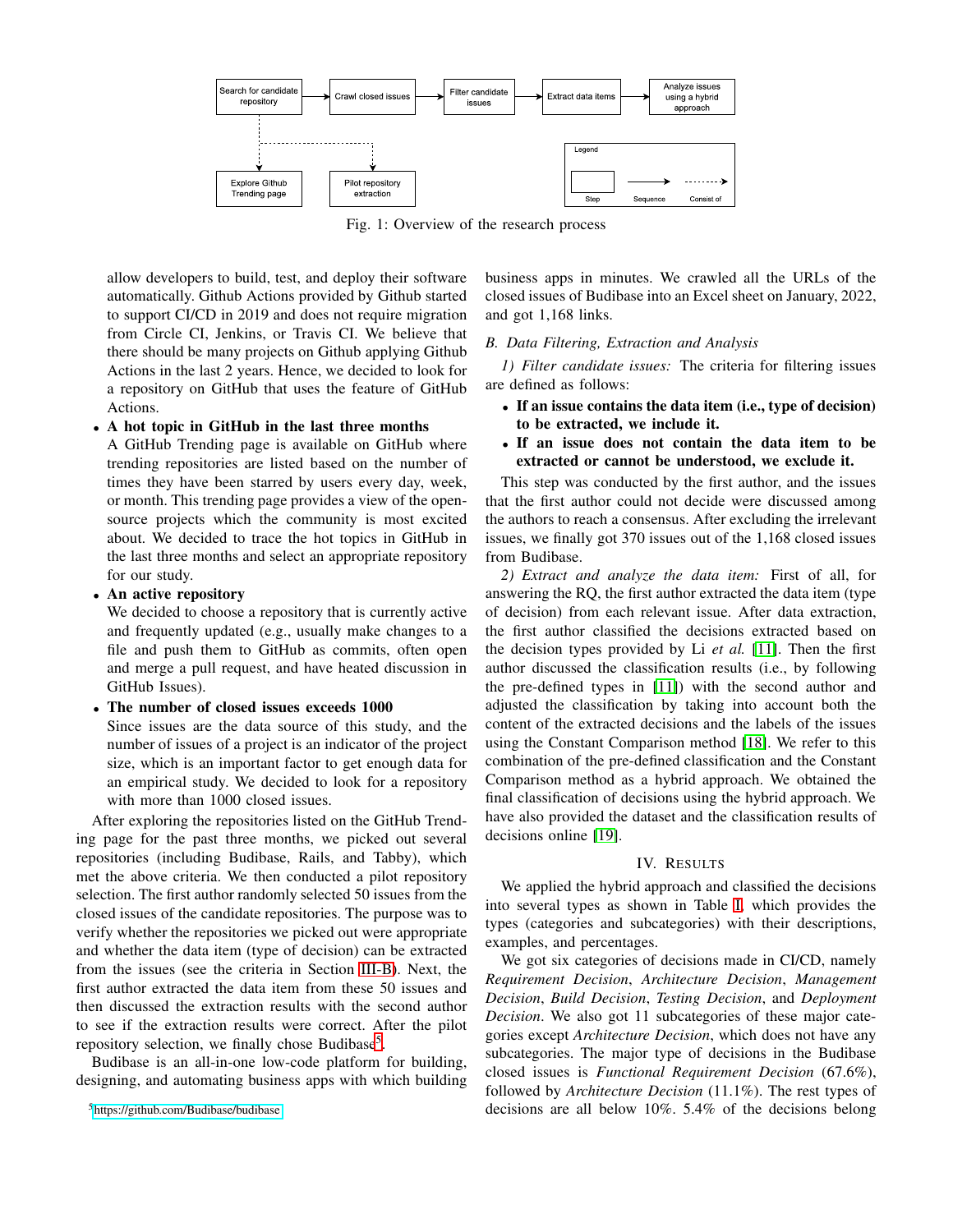<span id="page-2-1"></span>

Fig. 1: Overview of the research process

allow developers to build, test, and deploy their software automatically. Github Actions provided by Github started to support CI/CD in 2019 and does not require migration from Circle CI, Jenkins, or Travis CI. We believe that there should be many projects on Github applying Github Actions in the last 2 years. Hence, we decided to look for a repository on GitHub that uses the feature of GitHub Actions.

# • A hot topic in GitHub in the last three months

A GitHub Trending page is available on GitHub where trending repositories are listed based on the number of times they have been starred by users every day, week, or month. This trending page provides a view of the opensource projects which the community is most excited about. We decided to trace the hot topics in GitHub in the last three months and select an appropriate repository for our study.

#### • An active repository

We decided to choose a repository that is currently active and frequently updated (e.g., usually make changes to a file and push them to GitHub as commits, often open and merge a pull request, and have heated discussion in GitHub Issues).

## • The number of closed issues exceeds 1000

Since issues are the data source of this study, and the number of issues of a project is an indicator of the project size, which is an important factor to get enough data for an empirical study. We decided to look for a repository with more than 1000 closed issues.

After exploring the repositories listed on the GitHub Trending page for the past three months, we picked out several repositories (including Budibase, Rails, and Tabby), which met the above criteria. We then conducted a pilot repository selection. The first author randomly selected 50 issues from the closed issues of the candidate repositories. The purpose was to verify whether the repositories we picked out were appropriate and whether the data item (type of decision) can be extracted from the issues (see the criteria in Section [III-B\)](#page-2-2). Next, the first author extracted the data item from these 50 issues and then discussed the extraction results with the second author to see if the extraction results were correct. After the pilot repository selection, we finally chose Budibase<sup>[5](#page-2-3)</sup>.

Budibase is an all-in-one low-code platform for building, designing, and automating business apps with which building business apps in minutes. We crawled all the URLs of the closed issues of Budibase into an Excel sheet on January, 2022, and got 1,168 links.

#### <span id="page-2-2"></span>*B. Data Filtering, Extraction and Analysis*

*1) Filter candidate issues:* The criteria for filtering issues are defined as follows:

- If an issue contains the data item (i.e., type of decision) to be extracted, we include it.
- If an issue does not contain the data item to be extracted or cannot be understood, we exclude it.

This step was conducted by the first author, and the issues that the first author could not decide were discussed among the authors to reach a consensus. After excluding the irrelevant issues, we finally got 370 issues out of the 1,168 closed issues from Budibase.

*2) Extract and analyze the data item:* First of all, for answering the RQ, the first author extracted the data item (type of decision) from each relevant issue. After data extraction, the first author classified the decisions extracted based on the decision types provided by Li *et al.* [\[11\]](#page-5-11). Then the first author discussed the classification results (i.e., by following the pre-defined types in [\[11\]](#page-5-11)) with the second author and adjusted the classification by taking into account both the content of the extracted decisions and the labels of the issues using the Constant Comparison method [\[18\]](#page-5-18). We refer to this combination of the pre-defined classification and the Constant Comparison method as a hybrid approach. We obtained the final classification of decisions using the hybrid approach. We have also provided the dataset and the classification results of decisions online [\[19\]](#page-5-19).

#### IV. RESULTS

<span id="page-2-0"></span>We applied the hybrid approach and classified the decisions into several types as shown in Table [I,](#page-3-1) which provides the types (categories and subcategories) with their descriptions, examples, and percentages.

We got six categories of decisions made in CI/CD, namely *Requirement Decision*, *Architecture Decision*, *Management Decision*, *Build Decision*, *Testing Decision*, and *Deployment Decision*. We also got 11 subcategories of these major categories except *Architecture Decision*, which does not have any subcategories. The major type of decisions in the Budibase closed issues is *Functional Requirement Decision* (67.6%), followed by *Architecture Decision* (11.1%). The rest types of decisions are all below 10%. 5.4% of the decisions belong

<span id="page-2-3"></span><sup>5</sup><https://github.com/Budibase/budibase>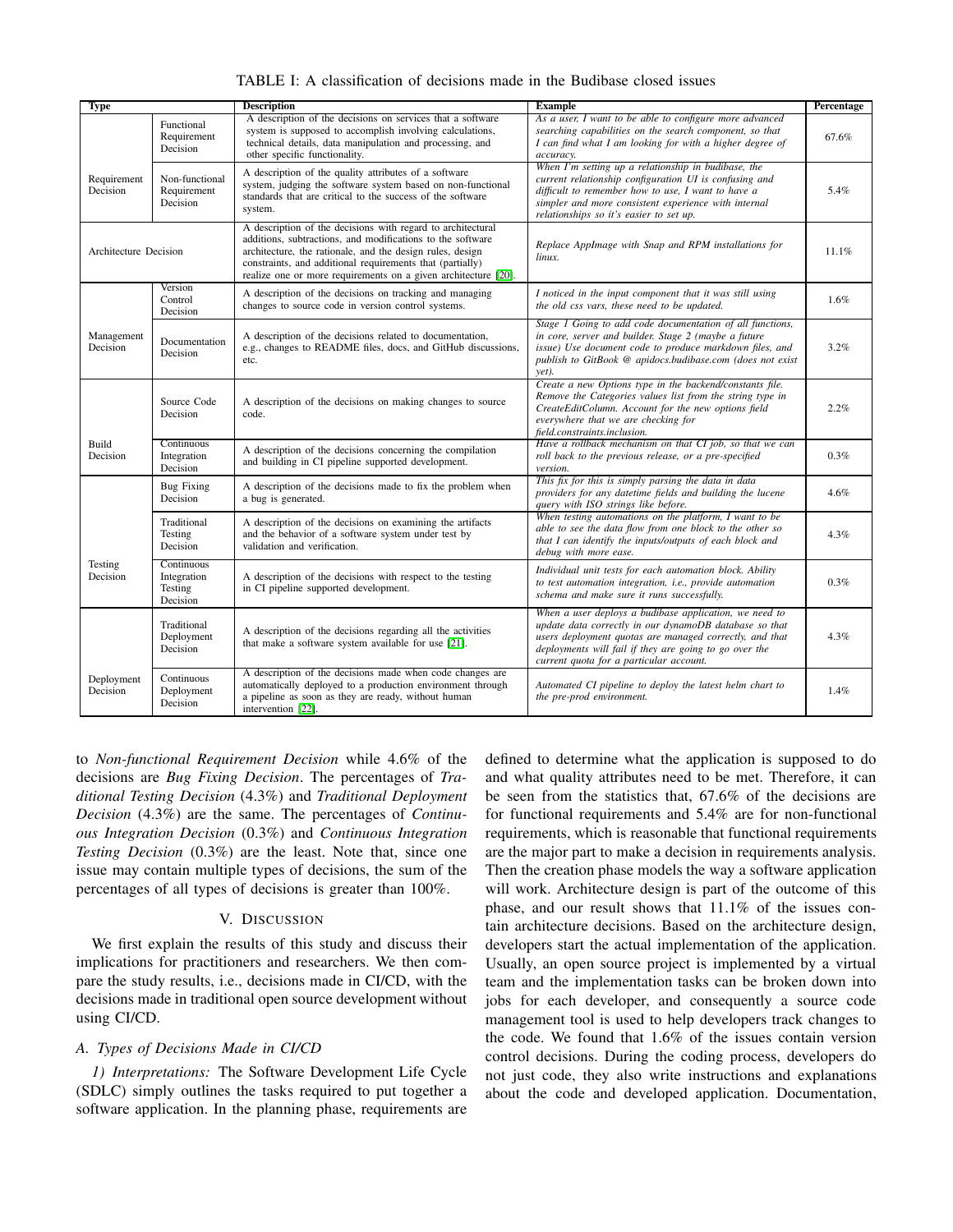<span id="page-3-1"></span>

| Type                    |                                                  | <b>Description</b>                                                                                                                                                                                                                                                                                                    | <b>Example</b>                                                                                                                                                                                                                                                                   | Percentage |
|-------------------------|--------------------------------------------------|-----------------------------------------------------------------------------------------------------------------------------------------------------------------------------------------------------------------------------------------------------------------------------------------------------------------------|----------------------------------------------------------------------------------------------------------------------------------------------------------------------------------------------------------------------------------------------------------------------------------|------------|
|                         | Functional<br>Requirement<br>Decision            | A description of the decisions on services that a software<br>system is supposed to accomplish involving calculations,<br>technical details, data manipulation and processing, and<br>other specific functionality.                                                                                                   | As a user, I want to be able to configure more advanced<br>searching capabilities on the search component, so that<br>I can find what I am looking for with a higher degree of<br>accuracy.                                                                                      | 67.6%      |
| Requirement<br>Decision | Non-functional<br>Requirement<br>Decision        | A description of the quality attributes of a software<br>system, judging the software system based on non-functional<br>standards that are critical to the success of the software<br>system.                                                                                                                         | When I'm setting up a relationship in budibase, the<br>current relationship configuration UI is confusing and<br>difficult to remember how to use, I want to have a<br>simpler and more consistent experience with internal<br>relationships so it's easier to set up.           | 5.4%       |
| Architecture Decision   |                                                  | A description of the decisions with regard to architectural<br>additions, subtractions, and modifications to the software<br>architecture, the rationale, and the design rules, design<br>constraints, and additional requirements that (partially)<br>realize one or more requirements on a given architecture [20]. | Replace AppImage with Snap and RPM installations for<br>linux.                                                                                                                                                                                                                   | 11.1%      |
|                         | Version<br>Control<br>Decision                   | A description of the decisions on tracking and managing<br>changes to source code in version control systems.                                                                                                                                                                                                         | I noticed in the input component that it was still using<br>the old css vars, these need to be updated.                                                                                                                                                                          | 1.6%       |
| Management<br>Decision  | Documentation<br>Decision                        | A description of the decisions related to documentation,<br>e.g., changes to README files, docs, and GitHub discussions,<br>etc.                                                                                                                                                                                      | Stage 1 Going to add code documentation of all functions,<br>in core, server and builder. Stage 2 (maybe a future<br>issue) Use document code to produce markdown files, and<br>publish to GitBook @ apidocs.budibase.com (does not exist<br>yet).                               | 3.2%       |
|                         | Source Code<br>Decision                          | A description of the decisions on making changes to source<br>code.                                                                                                                                                                                                                                                   | Create a new Options type in the backend/constants file.<br>Remove the Categories values list from the string type in<br>CreateEditColumn. Account for the new options field<br>everywhere that we are checking for<br>field.constraints.inclusion.                              | 2.2%       |
| Build<br>Decision       | Continuous<br>Integration<br>Decision            | A description of the decisions concerning the compilation<br>and building in CI pipeline supported development.                                                                                                                                                                                                       | Have a rollback mechanism on that CI job, so that we can<br>roll back to the previous release, or a pre-specified<br>version.                                                                                                                                                    | 0.3%       |
|                         | <b>Bug Fixing</b><br>Decision                    | A description of the decisions made to fix the problem when<br>a bug is generated.                                                                                                                                                                                                                                    | This fix for this is simply parsing the data in data<br>providers for any datetime fields and building the lucene<br>query with ISO strings like before.                                                                                                                         | 4.6%       |
|                         | Traditional<br>Testing<br>Decision               | A description of the decisions on examining the artifacts<br>and the behavior of a software system under test by<br>validation and verification.                                                                                                                                                                      | When testing automations on the platform, I want to be<br>able to see the data flow from one block to the other so<br>that I can identify the inputs/outputs of each block and<br>debug with more ease.                                                                          | 4.3%       |
| Testing<br>Decision     | Continuous<br>Integration<br>Testing<br>Decision | A description of the decisions with respect to the testing<br>in CI pipeline supported development.                                                                                                                                                                                                                   | Individual unit tests for each automation block. Ability<br>to test automation integration, i.e., provide automation<br>schema and make sure it runs successfully.                                                                                                               | 0.3%       |
|                         | Traditional<br>Deployment<br>Decision            | A description of the decisions regarding all the activities<br>that make a software system available for use [21].                                                                                                                                                                                                    | When a user deploys a budibase application, we need to<br>update data correctly in our dynamoDB database so that<br>users deployment quotas are managed correctly, and that<br>deployments will fail if they are going to go over the<br>current quota for a particular account. | 4.3%       |
| Deployment<br>Decision  | Continuous<br>Deployment<br>Decision             | A description of the decisions made when code changes are<br>automatically deployed to a production environment through<br>a pipeline as soon as they are ready, without human<br>intervention [22].                                                                                                                  | Automated CI pipeline to deploy the latest helm chart to<br>the pre-prod environment.                                                                                                                                                                                            | 1.4%       |

TABLE I: A classification of decisions made in the Budibase closed issues

to *Non-functional Requirement Decision* while 4.6% of the decisions are *Bug Fixing Decision*. The percentages of *Traditional Testing Decision* (4.3%) and *Traditional Deployment Decision* (4.3%) are the same. The percentages of *Continuous Integration Decision* (0.3%) and *Continuous Integration Testing Decision* (0.3%) are the least. Note that, since one issue may contain multiple types of decisions, the sum of the percentages of all types of decisions is greater than 100%.

## V. DISCUSSION

<span id="page-3-0"></span>We first explain the results of this study and discuss their implications for practitioners and researchers. We then compare the study results, i.e., decisions made in CI/CD, with the decisions made in traditional open source development without using CI/CD.

# *A. Types of Decisions Made in CI/CD*

*1) Interpretations:* The Software Development Life Cycle (SDLC) simply outlines the tasks required to put together a software application. In the planning phase, requirements are

defined to determine what the application is supposed to do and what quality attributes need to be met. Therefore, it can be seen from the statistics that, 67.6% of the decisions are for functional requirements and 5.4% are for non-functional requirements, which is reasonable that functional requirements are the major part to make a decision in requirements analysis. Then the creation phase models the way a software application will work. Architecture design is part of the outcome of this phase, and our result shows that 11.1% of the issues contain architecture decisions. Based on the architecture design, developers start the actual implementation of the application. Usually, an open source project is implemented by a virtual team and the implementation tasks can be broken down into jobs for each developer, and consequently a source code management tool is used to help developers track changes to the code. We found that 1.6% of the issues contain version control decisions. During the coding process, developers do not just code, they also write instructions and explanations about the code and developed application. Documentation,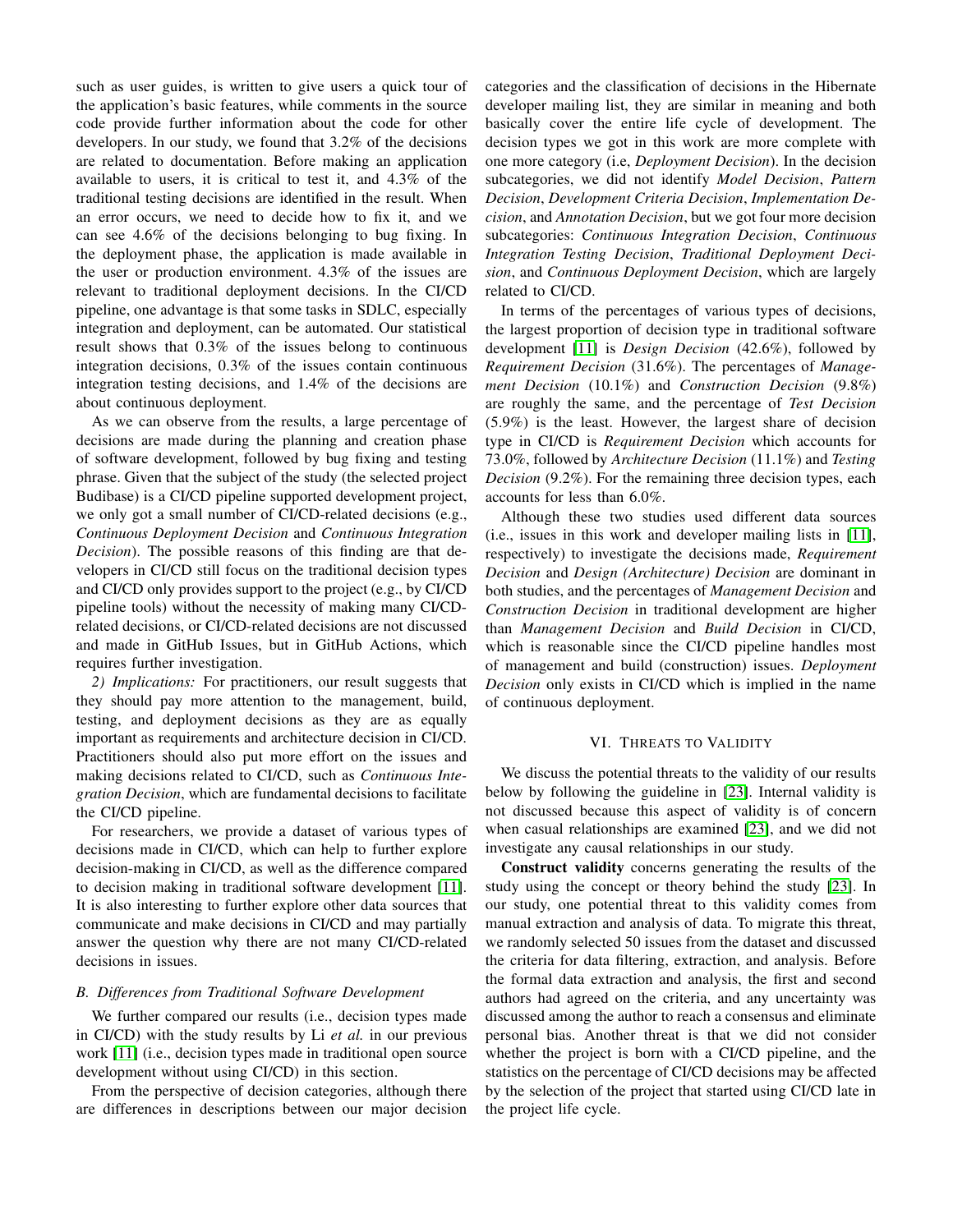such as user guides, is written to give users a quick tour of the application's basic features, while comments in the source code provide further information about the code for other developers. In our study, we found that 3.2% of the decisions are related to documentation. Before making an application available to users, it is critical to test it, and 4.3% of the traditional testing decisions are identified in the result. When an error occurs, we need to decide how to fix it, and we can see 4.6% of the decisions belonging to bug fixing. In the deployment phase, the application is made available in the user or production environment. 4.3% of the issues are relevant to traditional deployment decisions. In the CI/CD pipeline, one advantage is that some tasks in SDLC, especially integration and deployment, can be automated. Our statistical result shows that 0.3% of the issues belong to continuous integration decisions, 0.3% of the issues contain continuous integration testing decisions, and 1.4% of the decisions are about continuous deployment.

As we can observe from the results, a large percentage of decisions are made during the planning and creation phase of software development, followed by bug fixing and testing phrase. Given that the subject of the study (the selected project Budibase) is a CI/CD pipeline supported development project, we only got a small number of CI/CD-related decisions (e.g., *Continuous Deployment Decision* and *Continuous Integration Decision*). The possible reasons of this finding are that developers in CI/CD still focus on the traditional decision types and CI/CD only provides support to the project (e.g., by CI/CD pipeline tools) without the necessity of making many CI/CDrelated decisions, or CI/CD-related decisions are not discussed and made in GitHub Issues, but in GitHub Actions, which requires further investigation.

*2) Implications:* For practitioners, our result suggests that they should pay more attention to the management, build, testing, and deployment decisions as they are as equally important as requirements and architecture decision in CI/CD. Practitioners should also put more effort on the issues and making decisions related to CI/CD, such as *Continuous Integration Decision*, which are fundamental decisions to facilitate the CI/CD pipeline.

For researchers, we provide a dataset of various types of decisions made in CI/CD, which can help to further explore decision-making in CI/CD, as well as the difference compared to decision making in traditional software development [\[11\]](#page-5-11). It is also interesting to further explore other data sources that communicate and make decisions in CI/CD and may partially answer the question why there are not many CI/CD-related decisions in issues.

#### *B. Differences from Traditional Software Development*

We further compared our results (i.e., decision types made in CI/CD) with the study results by Li *et al.* in our previous work [\[11\]](#page-5-11) (i.e., decision types made in traditional open source development without using CI/CD) in this section.

From the perspective of decision categories, although there are differences in descriptions between our major decision categories and the classification of decisions in the Hibernate developer mailing list, they are similar in meaning and both basically cover the entire life cycle of development. The decision types we got in this work are more complete with one more category (i.e, *Deployment Decision*). In the decision subcategories, we did not identify *Model Decision*, *Pattern Decision*, *Development Criteria Decision*, *Implementation Decision*, and *Annotation Decision*, but we got four more decision subcategories: *Continuous Integration Decision*, *Continuous Integration Testing Decision*, *Traditional Deployment Decision*, and *Continuous Deployment Decision*, which are largely related to CI/CD.

In terms of the percentages of various types of decisions, the largest proportion of decision type in traditional software development [\[11\]](#page-5-11) is *Design Decision* (42.6%), followed by *Requirement Decision* (31.6%). The percentages of *Management Decision* (10.1%) and *Construction Decision* (9.8%) are roughly the same, and the percentage of *Test Decision* (5.9%) is the least. However, the largest share of decision type in CI/CD is *Requirement Decision* which accounts for 73.0%, followed by *Architecture Decision* (11.1%) and *Testing Decision* (9.2%). For the remaining three decision types, each accounts for less than 6.0%.

Although these two studies used different data sources (i.e., issues in this work and developer mailing lists in [\[11\]](#page-5-11), respectively) to investigate the decisions made, *Requirement Decision* and *Design (Architecture) Decision* are dominant in both studies, and the percentages of *Management Decision* and *Construction Decision* in traditional development are higher than *Management Decision* and *Build Decision* in CI/CD, which is reasonable since the CI/CD pipeline handles most of management and build (construction) issues. *Deployment Decision* only exists in CI/CD which is implied in the name of continuous deployment.

#### VI. THREATS TO VALIDITY

<span id="page-4-0"></span>We discuss the potential threats to the validity of our results below by following the guideline in [\[23\]](#page-5-23). Internal validity is not discussed because this aspect of validity is of concern when casual relationships are examined [\[23\]](#page-5-23), and we did not investigate any causal relationships in our study.

Construct validity concerns generating the results of the study using the concept or theory behind the study [\[23\]](#page-5-23). In our study, one potential threat to this validity comes from manual extraction and analysis of data. To migrate this threat, we randomly selected 50 issues from the dataset and discussed the criteria for data filtering, extraction, and analysis. Before the formal data extraction and analysis, the first and second authors had agreed on the criteria, and any uncertainty was discussed among the author to reach a consensus and eliminate personal bias. Another threat is that we did not consider whether the project is born with a CI/CD pipeline, and the statistics on the percentage of CI/CD decisions may be affected by the selection of the project that started using CI/CD late in the project life cycle.